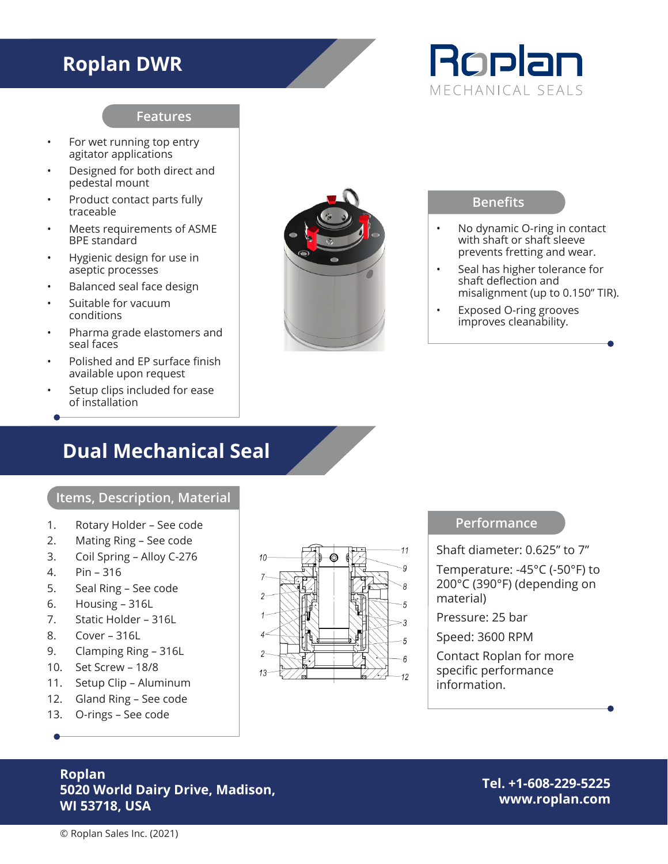## **Roplan DWR**



#### **Features**

- For wet running top entry agitator applications
- Designed for both direct and pedestal mount
- Product contact parts fully traceable
- Meets requirements of ASME BPE standard
- Hygienic design for use in aseptic processes
- Balanced seal face design
- Suitable for vacuum conditions
- Pharma grade elastomers and seal faces
- Polished and EP surface finish available upon request
- Setup clips included for ease of installation

### **Dual Mechanical Seal**

#### **Items, Description, Material**

- 1. Rotary Holder See code
- 2. Mating Ring See code
- 3. Coil Spring Alloy C-276
- 4. Pin 316
- 5. Seal Ring See code
- 6. Housing 316L
- 7. Static Holder 316L
- 8. Cover 316L
- 9. Clamping Ring 316L
- 10. Set Screw 18/8
- 11. Setup Clip Aluminum
- 12. Gland Ring See code
- 13. O-rings See code



#### **Benefits**

- No dynamic O-ring in contact with shaft or shaft sleeve prevents fretting and wear.
- Seal has higher tolerance for shaft deflection and misalignment (up to 0.150" TIR).
- Exposed O-ring grooves improves cleanability.

#### **Performance**

Shaft diameter: 0.625" to 7" Temperature: -45°C (-50°F) to 200°C (390°F) (depending on material)

Pressure: 25 bar

Speed: 3600 RPM

Contact Roplan for more specific performance information.

#### **Roplan 5020 World Dairy Drive, Madison, WI 53718, USA**

**Tel. +1-608-229-5225 www.roplan.com**

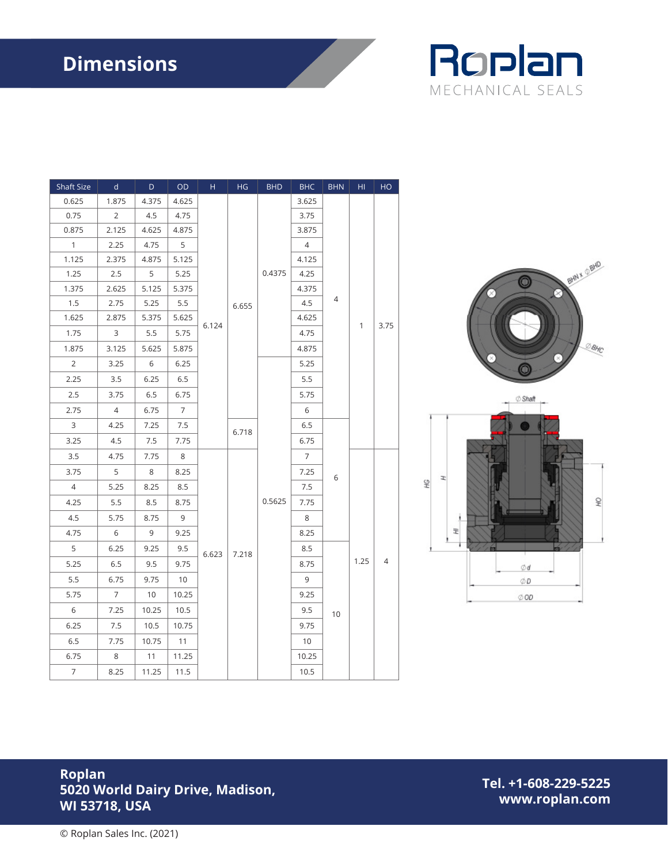# **Dimensions**



| Shaft Size     | $\mathsf{d}$   | D     | OD             | H     | HG    | <b>BHD</b> | <b>BHC</b>     | <b>BHN</b> | HI   | HO   |
|----------------|----------------|-------|----------------|-------|-------|------------|----------------|------------|------|------|
| 0.625          | 1.875          | 4.375 | 4.625          |       | 6.655 | 0.4375     | 3.625          | 4<br>6     | 1    | 3.75 |
| 0.75           | $\overline{2}$ | 4.5   | 4.75           |       |       |            | 3.75           |            |      |      |
| 0.875          | 2.125          | 4.625 | 4.875          |       |       |            | 3.875          |            |      |      |
| $\mathbf{1}$   | 2.25           | 4.75  | 5              |       |       |            | 4              |            |      |      |
| 1.125          | 2.375          | 4.875 | 5.125          |       |       |            | 4.125          |            |      |      |
| 1.25           | 2.5            | 5     | 5.25           |       |       |            | 4.25           |            |      |      |
| 1.375          | 2.625          | 5.125 | 5.375          | 6.124 |       |            | 4.375          |            |      |      |
| 1.5            | 2.75           | 5.25  | 5.5            |       |       |            | 4.5            |            |      |      |
| 1.625          | 2.875          | 5.375 | 5.625          |       |       |            | 4.625          |            |      |      |
| 1.75           | 3              | 5.5   | 5.75           |       |       |            | 4.75           |            |      |      |
| 1.875          | 3.125          | 5.625 | 5.875          |       |       |            | 4.875          |            |      |      |
| 2              | 3.25           | 6     | 6.25           |       |       | 0.5625     | 5.25           |            |      |      |
| 2.25           | 3.5            | 6.25  | 6.5            |       |       |            | 5.5            |            |      |      |
| 2.5            | 3.75           | 6.5   | 6.75           |       |       |            | 5.75           |            |      |      |
| 2.75           | 4              | 6.75  | $\overline{7}$ |       |       |            | 6              |            |      |      |
| 3              | 4.25           | 7.25  | 7.5            |       | 6.718 |            | 6.5            |            |      |      |
| 3.25           | 4.5            | 7.5   | 7.75           |       |       |            | 6.75           |            |      |      |
| 3.5            | 4.75           | 7.75  | 8              | 6.623 | 7.218 |            | $\overline{7}$ |            | 1.25 | 4    |
| 3.75           | 5              | 8     | 8.25           |       |       |            | 7.25           |            |      |      |
| $\overline{4}$ | 5.25           | 8.25  | 8.5            |       |       |            | 7.5            |            |      |      |
| 4.25           | 5.5            | 8.5   | 8.75           |       |       |            | 7.75           |            |      |      |
| 4.5            | 5.75           | 8.75  | 9              |       |       |            | 8              |            |      |      |
| 4.75           | 6              | 9     | 9.25           |       |       |            | 8.25           |            |      |      |
| 5              | 6.25           | 9.25  | 9.5            |       |       |            | 8.5            | 10         |      |      |
| 5.25           | 6.5            | 9.5   | 9.75           |       |       |            | 8.75           |            |      |      |
| 5.5            | 6.75           | 9.75  | 10             |       |       |            | 9              |            |      |      |
| 5.75           | $\overline{7}$ | 10    | 10.25          |       |       |            | 9.25           |            |      |      |
| 6              | 7.25           | 10.25 | 10.5           |       |       |            | 9.5            |            |      |      |
| 6.25           | $7.5\,$        | 10.5  | 10.75          |       |       |            | 9.75           |            |      |      |
| 6.5            | 7.75           | 10.75 | 11             |       |       |            | 10             |            |      |      |
| 6.75           | 8              | 11    | 11.25          |       |       |            | 10.25          |            |      |      |
| $\overline{7}$ | 8.25           | 11.25 | 11.5           |       |       |            | 10.5           |            |      |      |





#### **Roplan 5020 World Dairy Drive, Madison, WI 53718, USA**

**Tel. +1-608-229-5225 www.roplan.com**